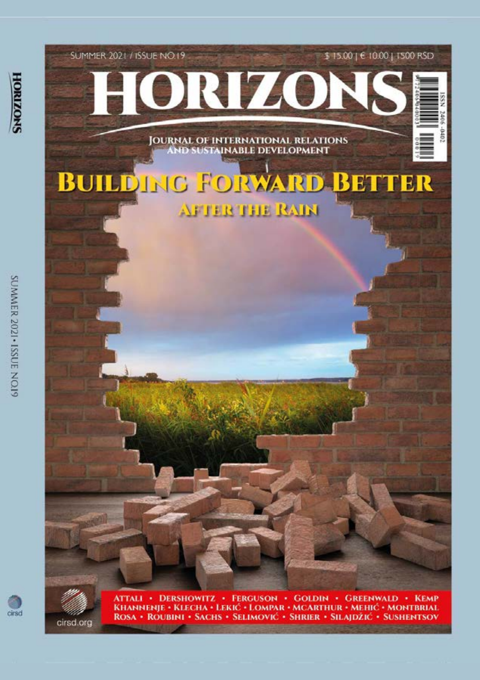





cirsd.org

ATTALI • DERSHOWITZ • FERGUSON • GOLDIN • GREENWALD • KEMP<br>KHANNENJE • KLECHA • LEKIĆ • LOMPAR • MCARTHUR • MEHIĆ • MONTBRIAL<br>ROSA • ROUBINI • SACHS • SELIMOVIĆ • SHRIER • SILAJDŽIĆ • SUSHENTSOV

SUMMER 2021 - ISSUE NOIS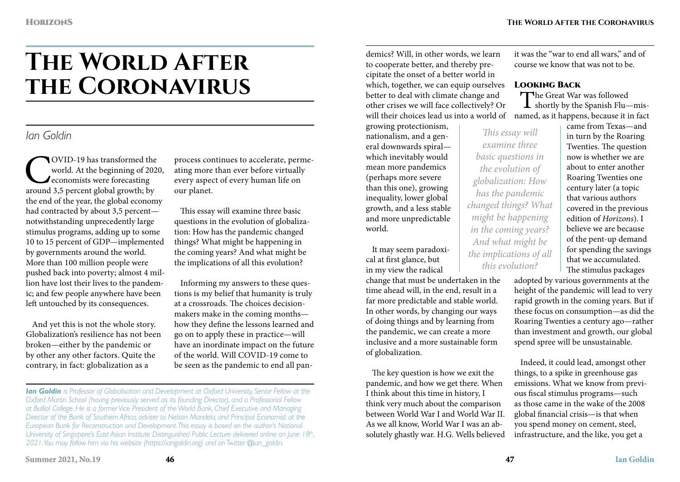it was the "war to end all wars," and of course we know that was not to be.

Looking Back

# **The World After the Coronavirus**

# *Ian Goldin*

COVID-19 has transformed the world. At the beginning of 202<sup>1</sup> economists were forecasting around 3,5 percent global growth; by world. At the beginning of 2020, economists were forecasting the end of the year, the global economy had contracted by about 3,5 percent notwithstanding unprecedently large stimulus programs, adding up to some 10 to 15 percent of GDP—implemented by governments around the world. More than 100 million people were pushed back into poverty; almost 4 million have lost their lives to the pandemic; and few people anywhere have been left untouched by its consequences.

And yet this is not the whole story. Globalization's resilience has not been broken—either by the pandemic or by other any other factors. Quite the contrary, in fact: globalization as a

process continues to accelerate, permeating more than ever before virtually every aspect of every human life on our planet.

This essay will examine three basic questions in the evolution of globalization: How has the pandemic changed things? What might be happening in the coming years? And what might be the implications of all this evolution?

Informing my answers to these questions is my belief that humanity is truly at a crossroads. The choices decisionmakers make in the coming months how they define the lessons learned and go on to apply these in practice—will have an inordinate impact on the future of the world. Will COVID-19 come to be seen as the pandemic to end all pan-

demics? Will, in other words, we learn to cooperate better, and thereby precipitate the onset of a better world in which, together, we can equip ourselves better to deal with climate change and other crises we will face collectively? Or will their choices lead us into a world of named, as it happens, because it in fact

growing protectionism, nationalism, and a general downwards spiral which inevitably would mean more pandemics (perhaps more severe than this one), growing inequality, lower global growth, and a less stable and more unpredictable world.

It may seem paradoxical at first glance, but in my view the radical

change that must be undertaken in the time ahead will, in the end, result in a far more predictable and stable world. In other words, by changing our ways of doing things and by learning from the pandemic, we can create a more inclusive and a more sustainable form of globalization.

The key question is how we exit the pandemic, and how we get there. When I think about this time in history, I think very much about the comparison between World War I and World War II. As we all know, World War I was an absolutely ghastly war. H.G. Wells believed

The Great War was followed<br>shortly by the Spanish Flu—mis-*This essay will examine three basic questions in the evolution of globalization: How has the pandemic changed things? What might be happening in the coming years? And what might be the implications of all this evolution?*

came from Texas—and in turn by the Roaring Twenties. The question now is whether we are about to enter another Roaring Twenties one century later (a topic that various authors covered in the previous edition of *Horizons*). I believe we are because of the pent-up demand for spending the savings that we accumulated. The stimulus packages

adopted by various governments at the height of the pandemic will lead to very rapid growth in the coming years. But if these focus on consumption—as did the Roaring Twenties a century ago—rather than investment and growth, our global spend spree will be unsustainable.

Indeed, it could lead, amongst other things, to a spike in greenhouse gas emissions. What we know from previous fiscal stimulus programs—such as those came in the wake of the 2008 global financial crisis—is that when you spend money on cement, steel, infrastructure, and the like, you get a

*Ian Goldin is Professor of Globalisation and Development at Oxford University, Senior Fellow at the Oxford Martin School (having previously served as its founding Director), and a Professorial Fellow at Balliol College. He is a former Vice President of the World Bank, Chief Executive and Managing Director of the Bank of Southern Africa, adviser to Nelson Mandela, and Principal Economist at the European Bank for Reconstruction and Development. This essay is based on the author's National University of Singapore's East Asian Institute Distinguished Public Lecture delivered online on June 18th*, *2021. You may follow him via his website (https://iangoldin.org) and on Twitter @ian\_goldin.*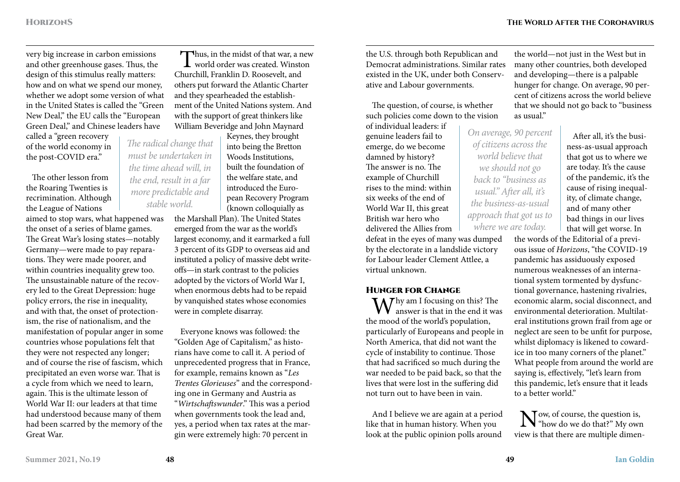very big increase in carbon emissions and other greenhouse gases. Thus, the design of this stimulus really matters: how and on what we spend our money, whether we adopt some version of what in the United States is called the "Green New Deal," the EU calls the "European Green Deal," and Chinese leaders have

called a "green recovery of the world economy in the post-COVID era."

The other lesson from the Roaring Twenties is recrimination. Although the League of Nations

aimed to stop wars, what happened was the onset of a series of blame games. The Great War's losing states—notably Germany—were made to pay reparations. They were made poorer, and within countries inequality grew too. The unsustainable nature of the recovery led to the Great Depression: huge policy errors, the rise in inequality, and with that, the onset of protectionism, the rise of nationalism, and the manifestation of popular anger in some countries whose populations felt that they were not respected any longer; and of course the rise of fascism, which precipitated an even worse war. That is a cycle from which we need to learn, again. This is the ultimate lesson of World War II: our leaders at that time had understood because many of them had been scarred by the memory of the Great War.

Thus, in the midst of that war, a new world order was created. Winston Churchill, Franklin D. Roosevelt, and others put forward the Atlantic Charter and they spearheaded the establishment of the United Nations system. And with the support of great thinkers like William Beveridge and John Maynard

Keynes, they brought into being the Bretton Woods Institutions, built the foundation of the welfare state, and introduced the European Recovery Program (known colloquially as

the Marshall Plan). The United States emerged from the war as the world's largest economy, and it earmarked a full 3 percent of its GDP to overseas aid and instituted a policy of massive debt writeoffs—in stark contrast to the policies adopted by the victors of World War I, when enormous debts had to be repaid by vanquished states whose economies were in complete disarray.

Everyone knows was followed: the "Golden Age of Capitalism," as historians have come to call it. A period of unprecedented progress that in France, for example, remains known as "*Les Trentes Glorieuses*" and the corresponding one in Germany and Austria as "*Wirtschaftswunder*." This was a period when governments took the lead and, yes, a period when tax rates at the margin were extremely high: 70 percent in

the U.S. through both Republican and Democrat administrations. Similar rates existed in the UK, under both Conservative and Labour governments.

The question, of course, is whether such policies come down to the vision

of individual leaders: if genuine leaders fail to emerge, do we become damned by history? The answer is no. The example of Churchill rises to the mind: within six weeks of the end of World War II, this great British war hero who delivered the Allies from defeat in the eyes of many was dumped by the electorate in a landslide victory

for Labour leader Clement Attlee, a virtual unknown.

**HUNGER FOR CHANGE**<br> $\bigwedge \bigwedge \overline{f}$  hy am I focusing on this? The  $\mathbf{W}^{\text{hy am I focusing on this? The answer is that in the end it was$ the mood of the world's population, particularly of Europeans and people in North America, that did not want the cycle of instability to continue. Those that had sacrificed so much during the war needed to be paid back, so that the lives that were lost in the suffering did not turn out to have been in vain.

And I believe we are again at a period like that in human history. When you look at the public opinion polls around

the world—not just in the West but in many other countries, both developed and developing—there is a palpable hunger for change. On average, 90 percent of citizens across the world believe that we should not go back to "business as usual."

*On average, 90 percent of citizens across the world believe that we should not go back to "business as usual." After all, it's the business-as-usual approach that got us to where we are today.*

After all, it's the business-as-usual approach that got us to where we are today. It's the cause of the pandemic, it's the cause of rising inequality, of climate change, and of many other bad things in our lives that will get worse. In

the words of the Editorial of a previous issue of *Horizons*, "the COVID-19 pandemic has assiduously exposed numerous weaknesses of an international system tormented by dysfunctional governance, hastening rivalries, economic alarm, social disconnect, and environmental deterioration. Multilateral institutions grown frail from age or neglect are seen to be unfit for purpose, whilst diplomacy is likened to cowardice in too many corners of the planet." What people from around the world are saying is, effectively, "let's learn from this pandemic, let's ensure that it leads to a better world."

Now, of course, the question is,<br>"how do we do that?" My own view is that there are multiple dimen-

*The radical change that must be undertaken in the time ahead will, in the end, result in a far more predictable and stable world.*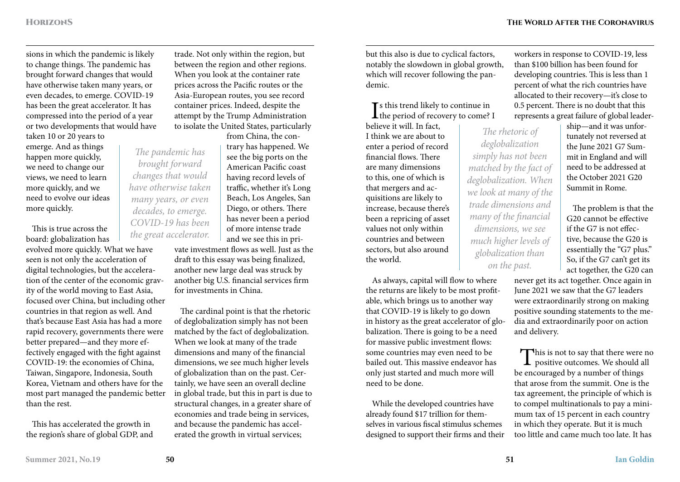sions in which the pandemic is likely to change things. The pandemic has brought forward changes that would have otherwise taken many years, or even decades, to emerge. COVID-19 has been the great accelerator. It has compressed into the period of a year or two developments that would have taken 10 or 20 years to

emerge. And as things happen more quickly, we need to change our views, we need to learn more quickly, and we need to evolve our ideas more quickly.

This is true across the board: globalization has

evolved more quickly. What we have seen is not only the acceleration of digital technologies, but the acceleration of the center of the economic gravity of the world moving to East Asia, focused over China, but including other countries in that region as well. And that's because East Asia has had a more rapid recovery, governments there were better prepared—and they more effectively engaged with the fight against COVID-19: the economies of China, Taiwan, Singapore, Indonesia, South Korea, Vietnam and others have for the most part managed the pandemic better than the rest.

This has accelerated the growth in the region's share of global GDP, and trade. Not only within the region, but between the region and other regions. When you look at the container rate prices across the Pacific routes or the Asia-European routes, you see record container prices. Indeed, despite the attempt by the Trump Administration to isolate the United States, particularly

from China, the contrary has happened. We see the big ports on the American Pacific coast having record levels of traffic, whether it's Long Beach, Los Angeles, San Diego, or others. There has never been a period of more intense trade and we see this in pri-

vate investment flows as well. Just as the draft to this essay was being finalized, another new large deal was struck by another big U.S. financial services firm for investments in China.

The cardinal point is that the rhetoric of deglobalization simply has not been matched by the fact of deglobalization. When we look at many of the trade dimensions and many of the financial dimensions, we see much higher levels of globalization than on the past. Certainly, we have seen an overall decline in global trade, but this in part is due to structural changes, in a greater share of economies and trade being in services, and because the pandemic has accelerated the growth in virtual services;

but this also is due to cyclical factors, notably the slowdown in global growth, which will recover following the pandemic.

## Is this trend likely to continue in<br>the period of recovery to come? I Ts this trend likely to continue in

believe it will. In fact, I think we are about to enter a period of record financial flows. There are many dimensions to this, one of which is that mergers and acquisitions are likely to increase, because there's been a repricing of asset values not only within countries and between sectors, but also around the world.

As always, capital will flow to where the returns are likely to be most profitable, which brings us to another way that COVID-19 is likely to go down in history as the great accelerator of globalization. There is going to be a need for massive public investment flows: some countries may even need to be bailed out. This massive endeavor has only just started and much more will need to be done.

While the developed countries have already found \$17 trillion for themselves in various fiscal stimulus schemes designed to support their firms and their workers in response to COVID-19, less than \$100 billion has been found for developing countries. This is less than 1 percent of what the rich countries have allocated to their recovery—it's close to 0.5 percent. There is no doubt that this represents a great failure of global leader-

*The rhetoric of deglobalization simply has not been matched by the fact of deglobalization. When we look at many of the trade dimensions and many of the financial dimensions, we see much higher levels of globalization than on the past.*

ship—and it was unfortunately not reversed at the June 2021 G7 Summit in England and will need to be addressed at the October 2021 G20 Summit in Rome.

The problem is that the G20 cannot be effective if the G7 is not effective, because the G20 is essentially the "G7 plus." So, if the G7 can't get its act together, the G20 can

never get its act together. Once again in June 2021 we saw that the G7 leaders were extraordinarily strong on making positive sounding statements to the media and extraordinarily poor on action and delivery.

This is not to say that there were no<br>positive outcomes. We should all be encouraged by a number of things that arose from the summit. One is the tax agreement, the principle of which is to compel multinationals to pay a minimum tax of 15 percent in each country in which they operate. But it is much too little and came much too late. It has

*The pandemic has brought forward changes that would have otherwise taken many years, or even decades, to emerge. COVID-19 has been the great accelerator.*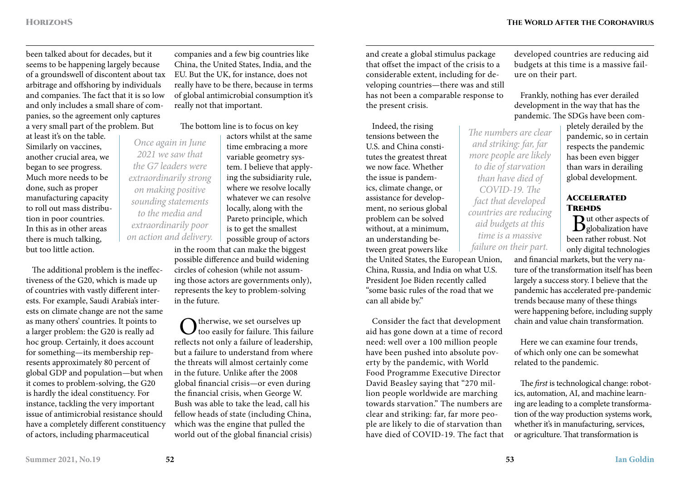been talked about for decades, but it seems to be happening largely because of a groundswell of discontent about tax arbitrage and offshoring by individuals and companies. The fact that it is so low and only includes a small share of companies, so the agreement only captures a very small part of the problem. But

at least it's on the table. Similarly on vaccines, another crucial area, we began to see progress. Much more needs to be done, such as proper manufacturing capacity to roll out mass distribution in poor countries. In this as in other areas there is much talking, but too little action.

The additional problem is the ineffectiveness of the G20, which is made up of countries with vastly different interests. For example, Saudi Arabia's interests on climate change are not the same as many others' countries. It points to a larger problem: the G20 is really ad hoc group. Certainly, it does account for something—its membership represents approximately 80 percent of global GDP and population—but when it comes to problem-solving, the G20 is hardly the ideal constituency. For instance, tackling the very important issue of antimicrobial resistance should have a completely different constituency of actors, including pharmaceutical

companies and a few big countries like China, the United States, India, and the EU. But the UK, for instance, does not really have to be there, because in terms of global antimicrobial consumption it's really not that important.

The bottom line is to focus on key

actors whilst at the same time embracing a more variable geometry system. I believe that applying the subsidiarity rule, where we resolve locally whatever we can resolve locally, along with the Pareto principle, which is to get the smallest *Once again in June 2021 we saw that the G7 leaders were extraordinarily strong on making positive sounding statements to the media and extraordinarily poor on action and delivery.*

possible group of actors in the room that can make the biggest possible difference and build widening circles of cohesion (while not assuming those actors are governments only), represents the key to problem-solving in the future.

 $\bigodot$  therwise, we set ourselves up<br>too easily for failure. This failure reflects not only a failure of leadership, but a failure to understand from where the threats will almost certainly come in the future. Unlike after the 2008 global financial crisis—or even during the financial crisis, when George W. Bush was able to take the lead, call his fellow heads of state (including China, which was the engine that pulled the world out of the global financial crisis)

and create a global stimulus package that offset the impact of the crisis to a considerable extent, including for developing countries—there was and still has not been a comparable response to the present crisis.

Indeed, the rising tensions between the U.S. and China constitutes the greatest threat we now face. Whether the issue is pandemics, climate change, or assistance for development, no serious global problem can be solved without, at a minimum, an understanding between great powers like

the United States, the European Union, China, Russia, and India on what U.S. President Joe Biden recently called "some basic rules of the road that we can all abide by."

Consider the fact that development aid has gone down at a time of record need: well over a 100 million people have been pushed into absolute poverty by the pandemic, with World Food Programme Executive Director David Beasley saying that "270 million people worldwide are marching towards starvation." The numbers are clear and striking: far, far more people are likely to die of starvation than have died of COVID-19. The fact that developed countries are reducing aid budgets at this time is a massive failure on their part.

Frankly, nothing has ever derailed development in the way that has the pandemic. The SDGs have been com-

> pletely derailed by the pandemic, so in certain respects the pandemic has been even bigger than wars in derailing global development.

#### **ACCELERATED TRENDS**

 $B<sub>globalization</sub>$  have been rather robust. Not only digital technologies

and financial markets, but the very nature of the transformation itself has been largely a success story. I believe that the pandemic has accelerated pre-pandemic trends because many of these things were happening before, including supply chain and value chain transformation.

Here we can examine four trends, of which only one can be somewhat related to the pandemic.

The *first* is technological change: robotics, automation, AI, and machine learning are leading to a complete transformation of the way production systems work, whether it's in manufacturing, services, or agriculture. That transformation is

*The numbers are clear and striking: far, far more people are likely to die of starvation than have died of COVID-19. The fact that developed countries are reducing aid budgets at this time is a massive failure on their part.*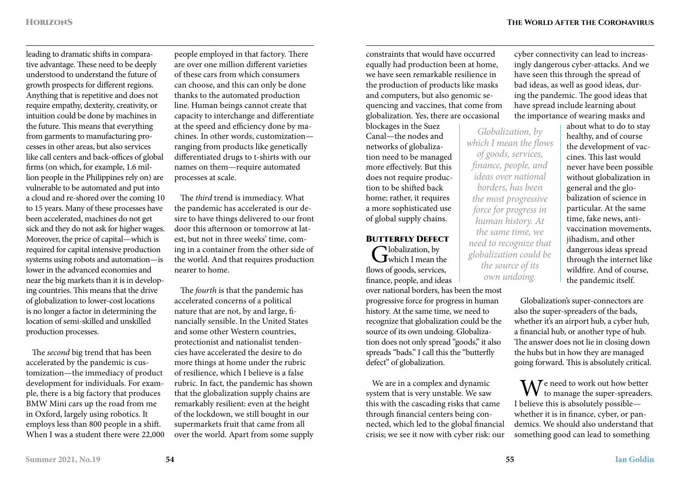leading to dramatic shifts in comparative advantage. These need to be deeply understood to understand the future of growth prospects for different regions. Anything that is repetitive and does not require empathy, dexterity, creativity, or intuition could be done by machines in the future. This means that everything from garments to manufacturing processes in other areas, but also services like call centers and back-offices of global firms (on which, for example, 1.6 million people in the Philippines rely on) are vulnerable to be automated and put into a cloud and re-shored over the coming 10 to 15 years. Many of these processes have been accelerated, machines do not get sick and they do not ask for higher wages. Moreover, the price of capital—which is required for capital intensive production systems using robots and automation—is lower in the advanced economies and near the big markets than it is in developing countries. This means that the drive of globalization to lower-cost locations is no longer a factor in determining the location of semi-skilled and unskilled production processes.

The *second* big trend that has been accelerated by the pandemic is customization—the immediacy of product development for individuals. For example, there is a big factory that produces BMW Mini cars up the road from me in Oxford, largely using robotics. It employs less than 800 people in a shift. When I was a student there were 22,000

people employed in that factory. There are over one million different varieties of these cars from which consumers can choose, and this can only be done thanks to the automated production line. Human beings cannot create that capacity to interchange and differentiate at the speed and efficiency done by machines. In other words, customization ranging from products like genetically differentiated drugs to t-shirts with our names on them—require automated processes at scale.

The *third* trend is immediacy. What the pandemic has accelerated is our desire to have things delivered to our front door this afternoon or tomorrow at latest, but not in three weeks' time, coming in a container from the other side of the world. And that requires production nearer to home.

The *fourth* is that the pandemic has accelerated concerns of a political nature that are not, by and large, financially sensible. In the United States and some other Western countries, protectionist and nationalist tendencies have accelerated the desire to do more things at home under the rubric of resilience, which I believe is a false rubric. In fact, the pandemic has shown that the globalization supply chains are remarkably resilient: even at the height of the lockdown, we still bought in our supermarkets fruit that came from all over the world. Apart from some supply

constraints that would have occurred equally had production been at home, we have seen remarkable resilience in the production of products like masks and computers, but also genomic sequencing and vaccines, that come from globalization. Yes, there are occasional

blockages in the Suez Canal—the nodes and networks of globalization need to be managed more effectively. But this does not require production to be shifted back home; rather, it requires a more sophisticated use of global supply chains.

### **BUTTERFLY DEFECT**

Globalization, by<br>
Which I mean the flows of goods, services,

finance, people, and ideas over national borders, has been the most progressive force for progress in human history. At the same time, we need to recognize that globalization could be the source of its own undoing. Globalization does not only spread "goods," it also spreads "bads." I call this the "butterfly defect" of globalization.

We are in a complex and dynamic system that is very unstable. We saw this with the cascading risks that came through financial centers being connected, which led to the global financial crisis; we see it now with cyber risk: our

cyber connectivity can lead to increasingly dangerous cyber-attacks. And we have seen this through the spread of bad ideas, as well as good ideas, during the pandemic. The good ideas that have spread include learning about the importance of wearing masks and

*Globalization, by which I mean the flows of goods, services, finance, people, and ideas over national borders, has been the most progressive force for progress in human history. At the same time, we need to recognize that globalization could be the source of its own undoing.*

about what to do to stay healthy, and of course the development of vaccines. This last would never have been possible without globalization in general and the globalization of science in particular. At the same time, fake news, antivaccination movements, jihadism, and other dangerous ideas spread through the internet like wildfire. And of course, the pandemic itself.

Globalization's super-connectors are also the super-spreaders of the bads, whether it's an airport hub, a cyber hub, a financial hub, or another type of hub. The answer does not lie in closing down the hubs but in how they are managed going forward. This is absolutely critical.

 $\mathbf{W}^{\text{e need to work out how better}}$  to manage the super-spreaders. I believe this is absolutely possible whether it is in finance, cyber, or pandemics. We should also understand that something good can lead to something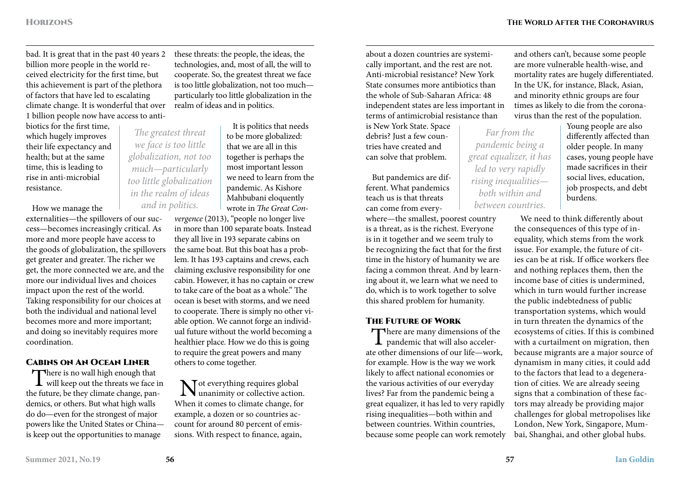and others can't, because some people are more vulnerable health-wise, and

bad. It is great that in the past 40 years 2 billion more people in the world received electricity for the first time, but this achievement is part of the plethora of factors that have led to escalating climate change. It is wonderful that over 1 billion people now have access to anti-

biotics for the first time, which hugely improves their life expectancy and health; but at the same time, this is leading to rise in anti-microbial resistance.

How we manage the

externalities—the spillovers of our success—becomes increasingly critical. As more and more people have access to the goods of globalization, the spillovers get greater and greater. The richer we get, the more connected we are, and the more our individual lives and choices impact upon the rest of the world. Taking responsibility for our choices at both the individual and national level becomes more and more important; and doing so inevitably requires more coordination.

#### Cabins on An Ocean Liner

There is no wall high enough that will keep out the threats we face in the future, be they climate change, pandemics, or others. But what high walls do do—even for the strongest of major powers like the United States or China is keep out the opportunities to manage

these threats: the people, the ideas, the technologies, and, most of all, the will to cooperate. So, the greatest threat we face is too little globalization, not too much particularly too little globalization in the realm of ideas and in politics.

> It is politics that needs to be more globalized: that we are all in this together is perhaps the most important lesson we need to learn from the pandemic. As Kishore Mahbubani eloquently wrote in *The Great Con-*

*vergence* (2013), "people no longer live in more than 100 separate boats. Instead they all live in 193 separate cabins on the same boat. But this boat has a problem. It has 193 captains and crews, each claiming exclusive responsibility for one cabin. However, it has no captain or crew to take care of the boat as a whole." The ocean is beset with storms, and we need to cooperate. There is simply no other viable option. We cannot forge an individual future without the world becoming a healthier place. How we do this is going to require the great powers and many others to come together.

Not everything requires global unanimity or collective action. When it comes to climate change, for example, a dozen or so countries account for around 80 percent of emissions. With respect to finance, again,

about a dozen countries are systemically important, and the rest are not. Anti-microbial resistance? New York State consumes more antibiotics than the whole of Sub-Saharan Africa: 48 independent states are less important in terms of antimicrobial resistance than

is New York State. Space debris? Just a few countries have created and can solve that problem.

But pandemics are different. What pandemics teach us is that threats can come from every-

where—the smallest, poorest country is a threat, as is the richest. Everyone is in it together and we seem truly to be recognizing the fact that for the first time in the history of humanity we are facing a common threat. And by learning about it, we learn what we need to do, which is to work together to solve this shared problem for humanity.

#### The Future of Work

There are many dimensions of the  $\perp$  pandemic that will also accelerate other dimensions of our life—work, for example. How is the way we work likely to affect national economies or the various activities of our everyday lives? Far from the pandemic being a great equalizer, it has led to very rapidly rising inequalities—both within and between countries. Within countries, because some people can work remotely

*Far from the pandemic being a great equalizer, it has led to very rapidly rising inequalities both within and between countries.*

mortality rates are hugely differentiated. In the UK, for instance, Black, Asian, and minority ethnic groups are four times as likely to die from the coronavirus than the rest of the population. Young people are also differently affected than

older people. In many cases, young people have made sacrifices in their social lives, education, job prospects, and debt burdens.

We need to think differently about the consequences of this type of inequality, which stems from the work issue. For example, the future of cities can be at risk. If office workers flee and nothing replaces them, then the income base of cities is undermined, which in turn would further increase the public indebtedness of public transportation systems, which would in turn threaten the dynamics of the ecosystems of cities. If this is combined with a curtailment on migration, then because migrants are a major source of dynamism in many cities, it could add to the factors that lead to a degeneration of cities. We are already seeing signs that a combination of these factors may already be providing major challenges for global metropolises like London, New York, Singapore, Mumbai, Shanghai, and other global hubs.

*The greatest threat we face is too little globalization, not too much—particularly too little globalization in the realm of ideas and in politics.*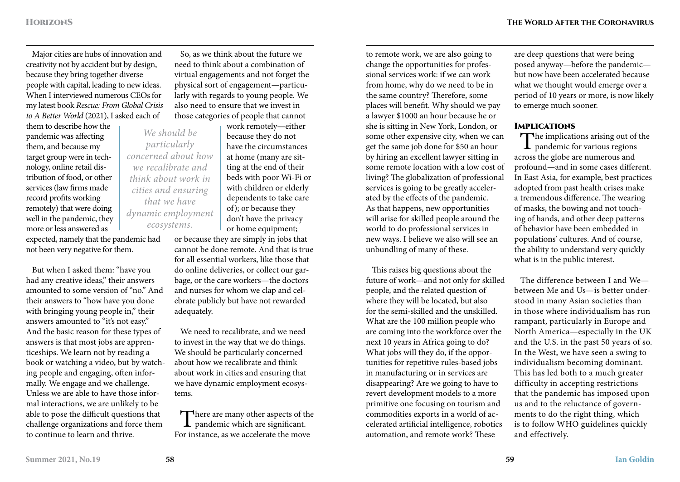Major cities are hubs of innovation and creativity not by accident but by design, because they bring together diverse people with capital, leading to new ideas. When I interviewed numerous CEOs for my latest book *Rescue: From Global Crisis to A Better World* (2021), I asked each of

them to describe how the pandemic was affecting them, and because my target group were in technology, online retail distribution of food, or other services (law firms made record profits working remotely) that were doing well in the pandemic, they more or less answered as

expected, namely that the pandemic had not been very negative for them.

But when I asked them: "have you had any creative ideas," their answers amounted to some version of "no." And their answers to "how have you done with bringing young people in," their answers amounted to "it's not easy." And the basic reason for these types of answers is that most jobs are apprenticeships. We learn not by reading a book or watching a video, but by watching people and engaging, often informally. We engage and we challenge. Unless we are able to have those informal interactions, we are unlikely to be able to pose the difficult questions that challenge organizations and force them to continue to learn and thrive.

So, as we think about the future we need to think about a combination of virtual engagements and not forget the physical sort of engagement—particularly with regards to young people. We also need to ensure that we invest in those categories of people that cannot

work remotely—either because they do not have the circumstances at home (many are sitting at the end of their beds with poor Wi-Fi or with children or elderly dependents to take care of); or because they don't have the privacy or home equipment;

or because they are simply in jobs that cannot be done remote. And that is true for all essential workers, like those that do online deliveries, or collect our garbage, or the care workers—the doctors and nurses for whom we clap and celebrate publicly but have not rewarded adequately.

We need to recalibrate, and we need to invest in the way that we do things. We should be particularly concerned about how we recalibrate and think about work in cities and ensuring that we have dynamic employment ecosystems.

There are many other aspects of the **L** pandemic which are significant. For instance, as we accelerate the move

to remote work, we are also going to change the opportunities for professional services work: if we can work from home, why do we need to be in the same country? Therefore, some places will benefit. Why should we pay a lawyer \$1000 an hour because he or she is sitting in New York, London, or some other expensive city, when we can get the same job done for \$50 an hour by hiring an excellent lawyer sitting in some remote location with a low cost of living? The globalization of professional services is going to be greatly accelerated by the effects of the pandemic. As that happens, new opportunities will arise for skilled people around the world to do professional services in new ways. I believe we also will see an unbundling of many of these.

This raises big questions about the future of work—and not only for skilled people, and the related question of where they will be located, but also for the semi-skilled and the unskilled. What are the 100 million people who are coming into the workforce over the next 10 years in Africa going to do? What jobs will they do, if the opportunities for repetitive rules-based jobs in manufacturing or in services are disappearing? Are we going to have to revert development models to a more primitive one focusing on tourism and commodities exports in a world of accelerated artificial intelligence, robotics automation, and remote work? These

are deep questions that were being posed anyway—before the pandemic but now have been accelerated because what we thought would emerge over a period of 10 years or more, is now likely to emerge much sooner.

#### **IMPLICATIONS**

The implications arising out of the **L** pandemic for various regions across the globe are numerous and profound—and in some cases different. In East Asia, for example, best practices adopted from past health crises make a tremendous difference. The wearing of masks, the bowing and not touching of hands, and other deep patterns of behavior have been embedded in populations' cultures. And of course, the ability to understand very quickly what is in the public interest.

The difference between I and We between Me and Us—is better understood in many Asian societies than in those where individualism has run rampant, particularly in Europe and North America—especially in the UK and the U.S. in the past 50 years of so. In the West, we have seen a swing to individualism becoming dominant. This has led both to a much greater difficulty in accepting restrictions that the pandemic has imposed upon us and to the reluctance of governments to do the right thing, which is to follow WHO guidelines quickly and effectively.

*We should be particularly concerned about how we recalibrate and think about work in cities and ensuring that we have dynamic employment ecosystems.*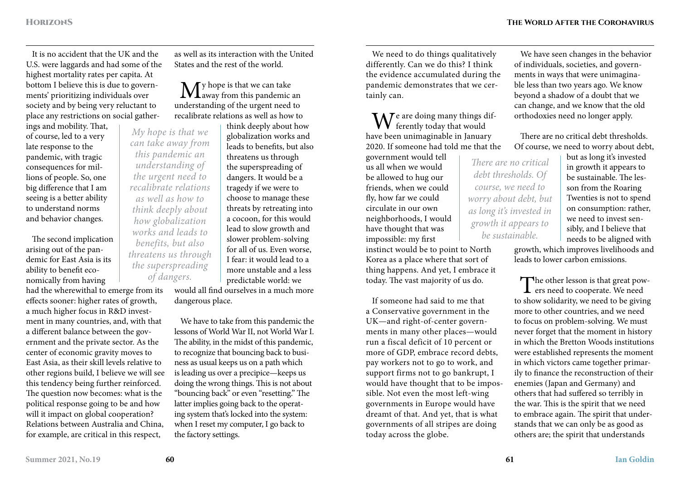It is no accident that the UK and the U.S. were laggards and had some of the highest mortality rates per capita. At bottom I believe this is due to governments' prioritizing individuals over society and by being very reluctant to place any restrictions on social gather-

ings and mobility. That, of course, led to a very late response to the pandemic, with tragic consequences for millions of people. So, one big difference that I am seeing is a better ability to understand norms and behavior changes.

The second implication arising out of the pandemic for East Asia is its ability to benefit economically from having

had the wherewithal to emerge from its effects sooner: higher rates of growth, a much higher focus in R&D investment in many countries, and, with that a different balance between the government and the private sector. As the center of economic gravity moves to East Asia, as their skill levels relative to other regions build, I believe we will see this tendency being further reinforced. The question now becomes: what is the political response going to be and how will it impact on global cooperation? Relations between Australia and China, for example, are critical in this respect,

as well as its interaction with the United States and the rest of the world.

 $\mathbf{M}$ y hope is that we can take **L**away from this pandemic an understanding of the urgent need to recalibrate relations as well as how to

think deeply about how globalization works and leads to benefits, but also threatens us through the superspreading of dangers. It would be a tragedy if we were to choose to manage these threats by retreating into a cocoon, for this would lead to slow growth and slower problem-solving for all of us. Even worse, I fear: it would lead to a more unstable and a less predictable world: we *My hope is that we can take away from this pandemic an understanding of the urgent need to recalibrate relations as well as how to think deeply about how globalization works and leads to benefits, but also threatens us through the superspreading of dangers.*

would all find ourselves in a much more dangerous place.

We have to take from this pandemic the lessons of World War II, not World War I. The ability, in the midst of this pandemic, to recognize that bouncing back to business as usual keeps us on a path which is leading us over a precipice—keeps us doing the wrong things. This is not about "bouncing back" or even "resetting." The latter implies going back to the operating system that's locked into the system: when I reset my computer, I go back to the factory settings.

We need to do things qualitatively differently. Can we do this? I think the evidence accumulated during the pandemic demonstrates that we certainly can.

 $\mathbf{W}^{\text{e}}$  are doing many things dif-<br>ferently today that would have been unimaginable in January 2020. If someone had told me that the

government would tell us all when we would be allowed to hug our friends, when we could fly, how far we could circulate in our own neighborhoods, I would have thought that was impossible: my first instinct would be to point to North

Korea as a place where that sort of thing happens. And yet, I embrace it today. The vast majority of us do.

If someone had said to me that a Conservative government in the UK—and right-of-center governments in many other places—would run a fiscal deficit of 10 percent or more of GDP, embrace record debts, pay workers not to go to work, and support firms not to go bankrupt, I would have thought that to be impossible. Not even the most left-wing governments in Europe would have dreamt of that. And yet, that is what governments of all stripes are doing today across the globe.

We have seen changes in the behavior of individuals, societies, and governments in ways that were unimaginable less than two years ago. We know beyond a shadow of a doubt that we can change, and we know that the old orthodoxies need no longer apply.

There are no critical debt thresholds. Of course, we need to worry about debt,

*There are no critical debt thresholds. Of course, we need to worry about debt, but as long it's invested in growth it appears to be sustainable.*

but as long it's invested in growth it appears to be sustainable. The lesson from the Roaring Twenties is not to spend on consumption: rather, we need to invest sensibly, and I believe that needs to be aligned with

growth, which improves livelihoods and leads to lower carbon emissions.

The other lesson is that great pow-<br>ers need to cooperate. We need to show solidarity, we need to be giving more to other countries, and we need to focus on problem-solving. We must never forget that the moment in history in which the Bretton Woods institutions were established represents the moment in which victors came together primarily to finance the reconstruction of their enemies (Japan and Germany) and others that had suffered so terribly in the war. This is the spirit that we need to embrace again. The spirit that understands that we can only be as good as others are; the spirit that understands